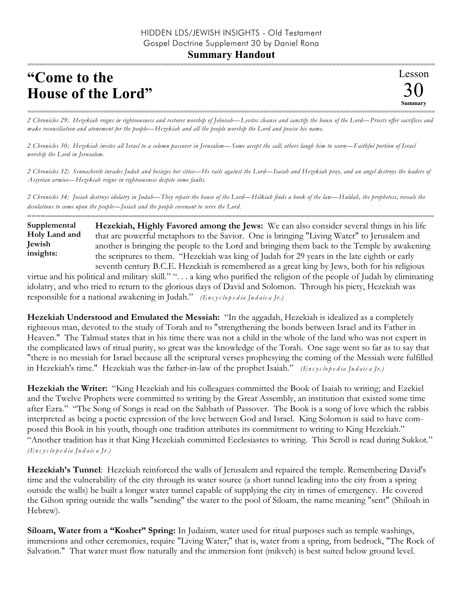## **"Come to the House of the Lord"**

=========================================================================================================== *2 Chronicles 29; Hezekiah reigns in righteousness and restores worship of Jehovah—Levites cleanse and sanctify the house of the Lord—Priests offer sacrifices and make reconciliation and atonement for the people—Hezekiah and all the people worship the Lord and praise his name.*

*2 Chronicles 30; Hezekiah invites all Israel to a solemn passover in Jerusalem—Some accept the call; others laugh him to scorn—Faithful portion of Israel worship the Lord in Jerusalem.*

*2 Chronicles 32; Sennacherib invades Judah and besieges her cities—He rails against the Lord—Isaiah and Hezekiah pray, and an angel destroys the leaders of Assyrian armies—Hezekiah reigns in righteousness despite some faults.*

*2 Chronicles 34; Josiah destroys idolatry in Judah—They repair the house of the Lord—Hilkiah finds a book of the law—Huldah, the prophetess, reveals the desolations to come upon the people—Josiah and the people covenant to serve the Lord.*

==========================================================================================================

**Hezekiah, Highly Favored among the Jews:** We can also consider several things in his life that are powerful metaphors to the Savior. One is bringing "Living Water" to Jerusalem and another is bringing the people to the Lord and bringing them back to the Temple by awakening the scriptures to them. "Hezekiah was king of Judah for 29 years in the late eighth or early seventh century B.C.E. Hezekiah is remembered as a great king by Jews, both for his religious **Supplemental Holy Land and Jewish insights:**

virtue and his political and military skill." ". . . a king who purified the religion of the people of Judah by eliminating idolatry, and who tried to return to the glorious days of David and Solomon. Through his piety, Hezekiah was responsible for a national awakening in Judah." *(En c y c lo p e d ia Ju d a ic a Jr.)*

**Hezekiah Understood and Emulated the Messiah:** "In the aggadah, Hezekiah is idealized as a completely righteous man, devoted to the study of Torah and to "strengthening the bonds between Israel and its Father in Heaven." The Talmud states that in his time there was not a child in the whole of the land who was not expert in the complicated laws of ritual purity, so great was the knowledge of the Torah. One sage went so far as to say that "there is no messiah for Israel because all the scriptural verses prophesying the coming of the Messiah were fulfilled in Hezekiah's time." Hezekiah was the father-in-law of the prophet Isaiah." *(En c y c lo p e d ia Ju d a ic a Jr.)*

**Hezekiah the Writer:** "King Hezekiah and his colleagues committed the Book of Isaiah to writing; and Ezekiel and the Twelve Prophets were committed to writing by the Great Assembly, an institution that existed some time after Ezra." "The Song of Songs is read on the Sabbath of Passover. The Book is a song of love which the rabbis interpreted as being a poetic expression of the love between God and Israel. King Solomon is said to have composed this Book in his youth, though one tradition attributes its commitment to writing to King Hezekiah." "Another tradition has it that King Hezekiah committed Ecclesiastes to writing. This Scroll is read during Sukkot." *(En c y c lo p e d ia Ju d a ic a Jr.)*

**Hezekiah's Tunnel**: Hezekiah reinforced the walls of Jerusalem and repaired the temple. Remembering David's time and the vulnerability of the city through its water source (a short tunnel leading into the city from a spring outside the walls) he built a longer water tunnel capable of supplying the city in times of emergency. He covered the Gihon spring outside the walls "sending" the water to the pool of Siloam, the name meaning "sent" (Shiloah in Hebrew).

**Siloam, Water from a "Kosher" Spring:** In Judaism, water used for ritual purposes such as temple washings, immersions and other ceremonies, require "Living Water;" that is, water from a spring, from bedrock, "The Rock of Salvation." That water must flow naturally and the immersion font (mikveh) is best suited below ground level.